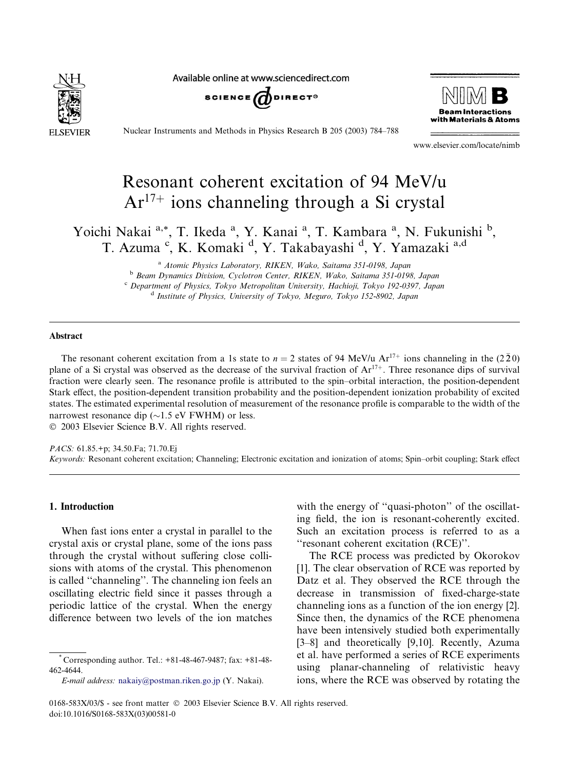

Available online at www.sciencedirect.com





Nuclear Instruments and Methods in Physics Research B 205 (2003) 784–788

www.elsevier.com/locate/nimb

# Resonant coherent excitation of 94 MeV/u  $Ar<sup>17+</sup>$  ions channeling through a Si crystal

Yoichi Nakai a,\*, T. Ikeda <sup>a</sup>, Y. Kanai <sup>a</sup>, T. Kambara <sup>a</sup>, N. Fukunishi <sup>b</sup>, T. Azuma <sup>c</sup>, K. Komaki <sup>d</sup>, Y. Takabayashi <sup>d</sup>, Y. Yamazaki <sup>a,d</sup>

> <sup>a</sup> Atomic Physics Laboratory, RIKEN, Wako, Saitama 351-0198, Japan <sup>b</sup> Beam Dynamics Division, Cyclotron Center, RIKEN, Wako, Saitama 351-0198, Japan <sup>c</sup> Department of Physics, Tokyo Metropolitan University, Hachioji, Tokyo 192-0397, Japan <sup>d</sup> Institute of Physics, University of Tokyo, Meguro, Tokyo 152-8902, Japan

# Abstract

The resonant coherent excitation from a 1s state to  $n = 2$  states of 94 MeV/u Ar<sup>17+</sup> ions channeling in the (220) plane of a Si crystal was observed as the decrease of the survival fraction of  $Ar^{17+}$ . Three resonance dips of survival fraction were clearly seen. The resonance profile is attributed to the spin–orbital interaction, the position-dependent Stark effect, the position-dependent transition probability and the position-dependent ionization probability of excited states. The estimated experimental resolution of measurement of the resonance profile is comparable to the width of the narrowest resonance dip  $(\sim 1.5 \text{ eV}$  FWHM) or less.

2003 Elsevier Science B.V. All rights reserved.

PACS: 61.85.+p; 34.50.Fa; 71.70.Ej Keywords: Resonant coherent excitation; Channeling; Electronic excitation and ionization of atoms; Spin–orbit coupling; Stark effect

#### 1. Introduction

When fast ions enter a crystal in parallel to the crystal axis or crystal plane, some of the ions pass through the crystal without suffering close collisions with atoms of the crystal. This phenomenon is called ''channeling''. The channeling ion feels an oscillating electric field since it passes through a periodic lattice of the crystal. When the energy difference between two levels of the ion matches

E-mail address: [nakaiy@postman.riken.go.jp](mail to: nakaiy@postman.riken.go.jp) (Y. Nakai).

with the energy of "quasi-photon" of the oscillating field, the ion is resonant-coherently excited. Such an excitation process is referred to as a ''resonant coherent excitation (RCE)''.

The RCE process was predicted by Okorokov [1]. The clear observation of RCE was reported by Datz et al. They observed the RCE through the decrease in transmission of fixed-charge-state channeling ions as a function of the ion energy [2]. Since then, the dynamics of the RCE phenomena have been intensively studied both experimentally [3–8] and theoretically [9,10]. Recently, Azuma et al. have performed a series of RCE experiments using planar-channeling of relativistic heavy ions, where the RCE was observed by rotating the

 $*$  Corresponding author. Tel.:  $+81-48-467-9487$ ; fax:  $+81-48-$ 462-4644.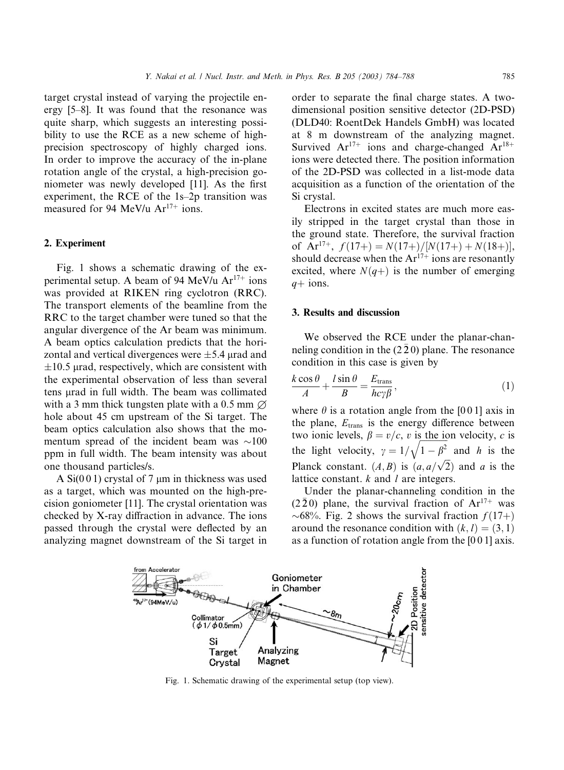target crystal instead of varying the projectile energy [5–8]. It was found that the resonance was quite sharp, which suggests an interesting possibility to use the RCE as a new scheme of highprecision spectroscopy of highly charged ions. In order to improve the accuracy of the in-plane rotation angle of the crystal, a high-precision goniometer was newly developed [11]. As the first experiment, the RCE of the 1s–2p transition was measured for 94 MeV/u  $Ar^{17+}$  ions.

#### 2. Experiment

Fig. 1 shows a schematic drawing of the experimental setup. A beam of 94 MeV/u  $Ar^{17+}$  ions was provided at RIKEN ring cyclotron (RRC). The transport elements of the beamline from the RRC to the target chamber were tuned so that the angular divergence of the Ar beam was minimum. A beam optics calculation predicts that the horizontal and vertical divergences were  $\pm$ 5.4 µrad and  $\pm 10.5$  µrad, respectively, which are consistent with the experimental observation of less than several tens lrad in full width. The beam was collimated with a 3 mm thick tungsten plate with a 0.5 mm  $\varnothing$ hole about 45 cm upstream of the Si target. The beam optics calculation also shows that the momentum spread of the incident beam was  $\sim$ 100 ppm in full width. The beam intensity was about one thousand particles/s.

A  $Si(001)$  crystal of 7 µm in thickness was used as a target, which was mounted on the high-precision goniometer [11]. The crystal orientation was checked by X-ray diffraction in advance. The ions passed through the crystal were deflected by an analyzing magnet downstream of the Si target in

order to separate the final charge states. A twodimensional position sensitive detector (2D-PSD) (DLD40: RoentDek Handels GmbH) was located at 8 m downstream of the analyzing magnet. Survived  $Ar^{17+}$  ions and charge-changed  $Ar^{18+}$ ions were detected there. The position information of the 2D-PSD was collected in a list-mode data acquisition as a function of the orientation of the Si crystal.

Electrons in excited states are much more easily stripped in the target crystal than those in the ground state. Therefore, the survival fraction of Ar<sup>17+</sup>,  $f(17+) = N(17+) / [N(17+) + N(18+)],$ should decrease when the  $Ar^{17+}$  ions are resonantly excited, where  $N(q+)$  is the number of emerging  $q+$  ions.

# 3. Results and discussion

We observed the RCE under the planar-channeling condition in the (2 2 0) plane. The resonance condition in this case is given by

$$
\frac{k\cos\theta}{A} + \frac{l\sin\theta}{B} = \frac{E_{\text{trans}}}{hc\gamma\beta},\tag{1}
$$

where  $\theta$  is a rotation angle from the [0 0 1] axis in the plane,  $E_{trans}$  is the energy difference between two ionic levels,  $\beta = v/c$ , v is the ion velocity, c is the light velocity,  $\gamma = 1/\sqrt{1-\beta^2}$  and h is the Planck constant.  $(A, B)$  is  $(a, a/\sqrt{2})$  and a is the lattice constant.  $k$  and  $l$  are integers.

Under the planar-channeling condition in the  $(2\bar{2}0)$  plane, the survival fraction of  $Ar^{17+}$  was  $\sim 68\%$ . Fig. 2 shows the survival fraction  $f(17+)$ around the resonance condition with  $(k, l) = (3, 1)$ as a function of rotation angle from the [0 0 1] axis.



Fig. 1. Schematic drawing of the experimental setup (top view).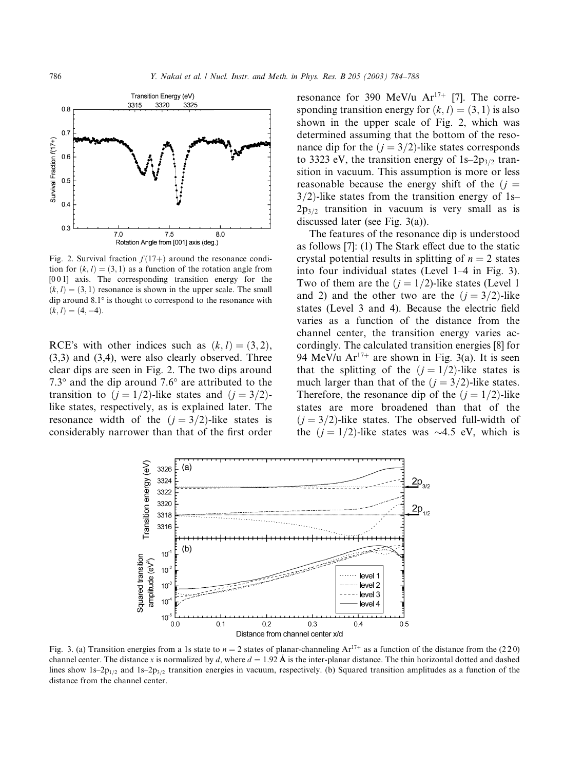

Fig. 2. Survival fraction  $f(17+)$  around the resonance condition for  $(k, l) = (3, 1)$  as a function of the rotation angle from [001] axis. The corresponding transition energy for the  $(k, l) = (3, 1)$  resonance is shown in the upper scale. The small dip around  $8.1^\circ$  is thought to correspond to the resonance with  $(k, l) = (4, -4).$ 

RCE's with other indices such as  $(k, l) = (3, 2)$ , (3,3) and (3,4), were also clearly observed. Three clear dips are seen in Fig. 2. The two dips around 7.3 $\degree$  and the dip around 7.6 $\degree$  are attributed to the transition to  $(j = 1/2)$ -like states and  $(j = 3/2)$ like states, respectively, as is explained later. The resonance width of the  $(j = 3/2)$ -like states is considerably narrower than that of the first order resonance for 390 MeV/u  $Ar^{17+}$  [7]. The corresponding transition energy for  $(k, l) = (3, 1)$  is also shown in the upper scale of Fig. 2, which was determined assuming that the bottom of the resonance dip for the  $(j = 3/2)$ -like states corresponds to 3323 eV, the transition energy of  $1s-2p_{3/2}$  transition in vacuum. This assumption is more or less reasonable because the energy shift of the  $(i =$  $3/2$ -like states from the transition energy of 1s–  $2p_{3/2}$  transition in vacuum is very small as is discussed later (see Fig. 3(a)).

The features of the resonance dip is understood as follows [7]: (1) The Stark effect due to the static crystal potential results in splitting of  $n = 2$  states into four individual states (Level 1–4 in Fig. 3). Two of them are the  $(j = 1/2)$ -like states (Level 1) and 2) and the other two are the  $(j = 3/2)$ -like states (Level 3 and 4). Because the electric field varies as a function of the distance from the channel center, the transition energy varies accordingly. The calculated transition energies [8] for 94 MeV/u  $Ar^{17+}$  are shown in Fig. 3(a). It is seen that the splitting of the  $(j = 1/2)$ -like states is much larger than that of the  $(j = 3/2)$ -like states. Therefore, the resonance dip of the  $(j = 1/2)$ -like states are more broadened than that of the  $(j = 3/2)$ -like states. The observed full-width of the  $(j = 1/2)$ -like states was  $\sim$ 4.5 eV, which is



Fig. 3. (a) Transition energies from a 1s state to  $n = 2$  states of planar-channeling  $Ar^{17+}$  as a function of the distance from the (220) channel center. The distance x is normalized by d, where  $d = 1.92 \text{ Å}$  is the inter-planar distance. The thin horizontal dotted and dashed lines show  $1s-2p_{1/2}$  and  $1s-2p_{3/2}$  transition energies in vacuum, respectively. (b) Squared transition amplitudes as a function of the distance from the channel center.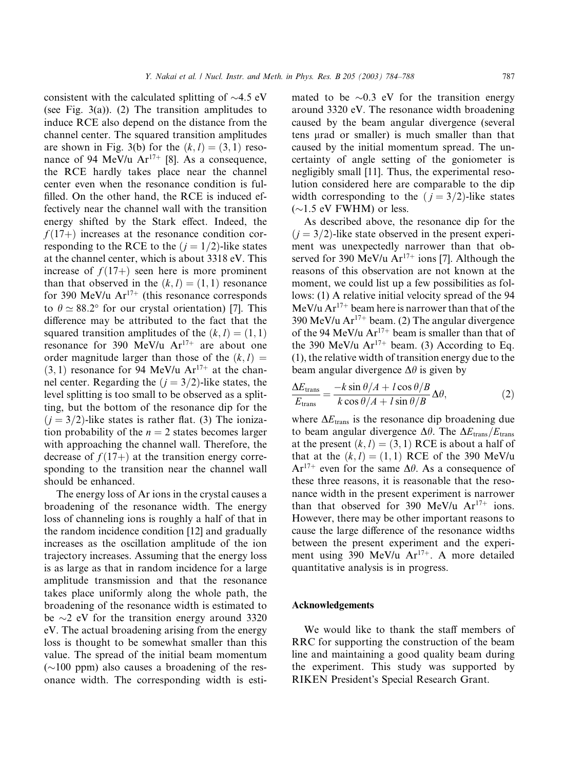consistent with the calculated splitting of  $\sim$ 4.5 eV (see Fig. 3(a)). (2) The transition amplitudes to induce RCE also depend on the distance from the channel center. The squared transition amplitudes are shown in Fig. 3(b) for the  $(k, l) = (3, 1)$  resonance of 94 MeV/u  $Ar^{17+}$  [8]. As a consequence, the RCE hardly takes place near the channel center even when the resonance condition is fulfilled. On the other hand, the RCE is induced effectively near the channel wall with the transition energy shifted by the Stark effect. Indeed, the  $f(17+)$  increases at the resonance condition corresponding to the RCE to the  $(j = 1/2)$ -like states at the channel center, which is about 3318 eV. This increase of  $f(17+)$  seen here is more prominent than that observed in the  $(k, l) = (1, 1)$  resonance for 390 MeV/u  $Ar^{17+}$  (this resonance corresponds to  $\theta \simeq 88.2^{\circ}$  for our crystal orientation) [7]. This difference may be attributed to the fact that the squared transition amplitudes of the  $(k, l) = (1, 1)$ resonance for 390 MeV/u  $Ar^{17+}$  are about one order magnitude larger than those of the  $(k, l)$  $(3, 1)$  resonance for 94 MeV/u Ar<sup>17+</sup> at the channel center. Regarding the  $(j = 3/2)$ -like states, the level splitting is too small to be observed as a splitting, but the bottom of the resonance dip for the  $(j = 3/2)$ -like states is rather flat. (3) The ionization probability of the  $n = 2$  states becomes larger with approaching the channel wall. Therefore, the decrease of  $f(17+)$  at the transition energy corresponding to the transition near the channel wall should be enhanced.

The energy loss of Ar ions in the crystal causes a broadening of the resonance width. The energy loss of channeling ions is roughly a half of that in the random incidence condition [12] and gradually increases as the oscillation amplitude of the ion trajectory increases. Assuming that the energy loss is as large as that in random incidence for a large amplitude transmission and that the resonance takes place uniformly along the whole path, the broadening of the resonance width is estimated to be  $\sim$ 2 eV for the transition energy around 3320 eV. The actual broadening arising from the energy loss is thought to be somewhat smaller than this value. The spread of the initial beam momentum  $(\sim 100$  ppm) also causes a broadening of the resonance width. The corresponding width is estimated to be  $\sim 0.3$  eV for the transition energy around 3320 eV. The resonance width broadening caused by the beam angular divergence (several tens lrad or smaller) is much smaller than that caused by the initial momentum spread. The uncertainty of angle setting of the goniometer is negligibly small [11]. Thus, the experimental resolution considered here are comparable to the dip width corresponding to the  $(j = 3/2)$ -like states  $(\sim1.5$  eV FWHM) or less.

As described above, the resonance dip for the  $(j = 3/2)$ -like state observed in the present experiment was unexpectedly narrower than that observed for 390 MeV/u  $Ar^{17+}$  ions [7]. Although the reasons of this observation are not known at the moment, we could list up a few possibilities as follows: (1) A relative initial velocity spread of the 94 MeV/u  $Ar^{17+}$  beam here is narrower than that of the 390 MeV/u  $Ar^{17+}$  beam. (2) The angular divergence of the 94 MeV/u  $Ar^{17+}$  beam is smaller than that of the 390 MeV/u  $Ar^{17+}$  beam. (3) According to Eq. (1), the relative width of transition energy due to the beam angular divergence  $\Delta\theta$  is given by

$$
\frac{\Delta E_{\text{trans}}}{E_{\text{trans}}} = \frac{-k \sin \theta / A + l \cos \theta / B}{k \cos \theta / A + l \sin \theta / B} \Delta \theta,\tag{2}
$$

where  $\Delta E_{trans}$  is the resonance dip broadening due to beam angular divergence  $\Delta\theta$ . The  $\Delta E_{trans}/E_{trans}$ at the present  $(k, l) = (3, 1)$  RCE is about a half of that at the  $(k, l) = (1, 1)$  RCE of the 390 MeV/u  $Ar^{17+}$  even for the same  $\Delta\theta$ . As a consequence of these three reasons, it is reasonable that the resonance width in the present experiment is narrower than that observed for 390 MeV/u  $Ar^{17+}$  ions. However, there may be other important reasons to cause the large difference of the resonance widths between the present experiment and the experiment using 390 MeV/u  $Ar^{17+}$ . A more detailed quantitative analysis is in progress.

# Acknowledgements

We would like to thank the staff members of RRC for supporting the construction of the beam line and maintaining a good quality beam during the experiment. This study was supported by RIKEN President's Special Research Grant.